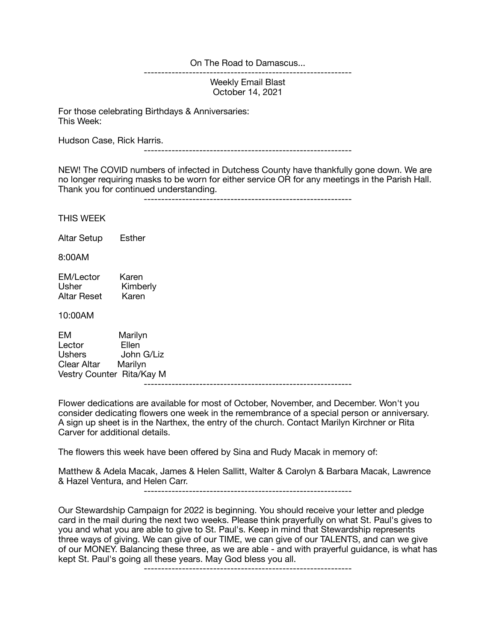On The Road to Damascus...

------------------------------------------------------------

Weekly Email Blast October 14, 2021

For those celebrating Birthdays & Anniversaries: This Week:

Hudson Case, Rick Harris.

------------------------------------------------------------

NEW! The COVID numbers of infected in Dutchess County have thankfully gone down. We are no longer requiring masks to be worn for either service OR for any meetings in the Parish Hall. Thank you for continued understanding.

------------------------------------------------------------

THIS WEEK

Altar Setup Esther

8:00AM

EM/Lector Karen<br>Usher Kimbe Kimberly<br>Karen Altar Reset

10:00AM

EM Marilyn<br>Lector Ellen Lector<br>Ushers John G/Liz Clear Altar Marilyn Vestry Counter Rita/Kay M ------------------------------------------------------------

Flower dedications are available for most of October, November, and December. Won't you consider dedicating flowers one week in the remembrance of a special person or anniversary. A sign up sheet is in the Narthex, the entry of the church. Contact Marilyn Kirchner or Rita Carver for additional details.

The flowers this week have been offered by Sina and Rudy Macak in memory of:

Matthew & Adela Macak, James & Helen Sallitt, Walter & Carolyn & Barbara Macak, Lawrence & Hazel Ventura, and Helen Carr.

------------------------------------------------------------

Our Stewardship Campaign for 2022 is beginning. You should receive your letter and pledge card in the mail during the next two weeks. Please think prayerfully on what St. Paul's gives to you and what you are able to give to St. Paul's. Keep in mind that Stewardship represents three ways of giving. We can give of our TIME, we can give of our TALENTS, and can we give of our MONEY. Balancing these three, as we are able - and with prayerful guidance, is what has kept St. Paul's going all these years. May God bless you all.

------------------------------------------------------------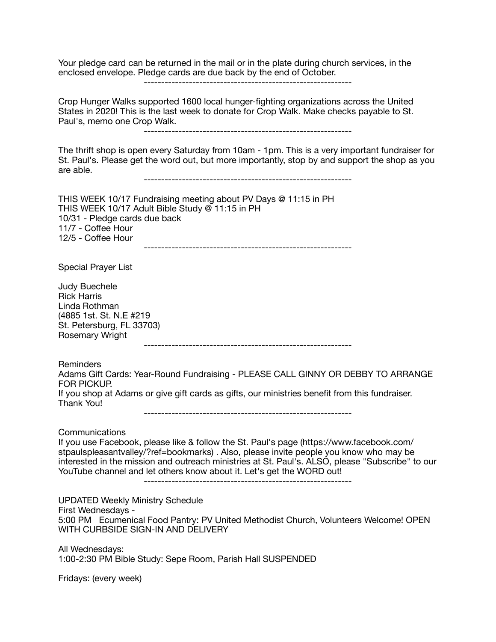Your pledge card can be returned in the mail or in the plate during church services, in the enclosed envelope. Pledge cards are due back by the end of October.

------------------------------------------------------------

Crop Hunger Walks supported 1600 local hunger-fighting organizations across the United States in 2020! This is the last week to donate for Crop Walk. Make checks payable to St. Paul's, memo one Crop Walk.

------------------------------------------------------------

The thrift shop is open every Saturday from 10am - 1pm. This is a very important fundraiser for St. Paul's. Please get the word out, but more importantly, stop by and support the shop as you are able.

------------------------------------------------------------

THIS WEEK 10/17 Fundraising meeting about PV Days @ 11:15 in PH THIS WEEK 10/17 Adult Bible Study @ 11:15 in PH 10/31 - Pledge cards due back 11/7 - Coffee Hour 12/5 - Coffee Hour ------------------------------------------------------------

Special Prayer List

Judy Buechele Rick Harris Linda Rothman (4885 1st. St. N.E #219 St. Petersburg, FL 33703) Rosemary Wright

------------------------------------------------------------

Reminders

Adams Gift Cards: Year-Round Fundraising - PLEASE CALL GINNY OR DEBBY TO ARRANGE FOR PICKUP. If you shop at Adams or give gift cards as gifts, our ministries benefit from this fundraiser. Thank You!

------------------------------------------------------------

Communications

If you use Facebook, please like & follow the St. Paul's page (https://www.facebook.com/ stpaulspleasantvalley/?ref=bookmarks) . Also, please invite people you know who may be interested in the mission and outreach ministries at St. Paul's. ALSO, please "Subscribe" to our YouTube channel and let others know about it. Let's get the WORD out!

------------------------------------------------------------

UPDATED Weekly Ministry Schedule First Wednesdays - 5:00 PM Ecumenical Food Pantry: PV United Methodist Church, Volunteers Welcome! OPEN WITH CURBSIDE SIGN-IN AND DELIVERY

All Wednesdays: 1:00-2:30 PM Bible Study: Sepe Room, Parish Hall SUSPENDED

Fridays: (every week)